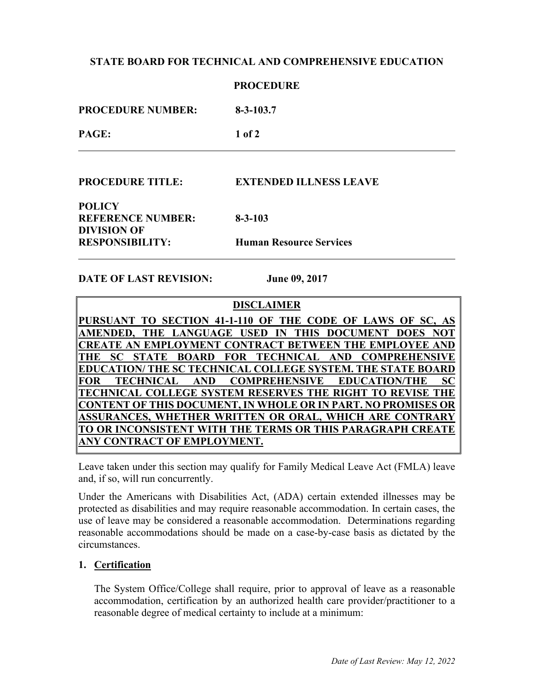# **STATE BOARD FOR TECHNICAL AND COMPREHENSIVE EDUCATION**

|                          | <b>PROCEDURE</b> |
|--------------------------|------------------|
| <b>PROCEDURE NUMBER:</b> | $8 - 3 - 103.7$  |
| PAGE:                    | $1$ of $2$       |
|                          |                  |

**PROCEDURE TITLE: EXTENDED ILLNESS LEAVE**

**POLICY REFERENCE NUMBER: 8-3-103 DIVISION OF RESPONSIBILITY: Human Resource Services** 

**DATE OF LAST REVISION: June 09, 2017**

### **DISCLAIMER**

PURSUANT TO SECTION 41-1-110 OF THE CODE OF LAWS OF SC, **AMENDED, THE LANGUAGE USED IN THIS DOCUMENT DOES NOT CREATE AN EMPLOYMENT CONTRACT BETWEEN THE EMPLOYEE AND THE SC STATE BOARD FOR TECHNICAL AND COMPREHENSIVE EDUCATION/ THE SC TECHNICAL COLLEGE SYSTEM. THE STATE BOARD FOR TECHNICAL AND COMPREHENSIVE EDUCATION/THE SC TECHNICAL COLLEGE SYSTEM RESERVES THE RIGHT TO REVISE THE CONTENT OF THIS DOCUMENT, IN WHOLE OR IN PART. NO PROMISES OR ASSURANCES, WHETHER WRITTEN OR ORAL, WHICH ARE CONTRARY TO OR INCONSISTENT WITH THE TERMS OR THIS PARAGRAPH CREATE ANY CONTRACT OF EMPLOYMENT.**

Leave taken under this section may qualify for Family Medical Leave Act (FMLA) leave and, if so, will run concurrently.

Under the Americans with Disabilities Act, (ADA) certain extended illnesses may be protected as disabilities and may require reasonable accommodation. In certain cases, the use of leave may be considered a reasonable accommodation. Determinations regarding reasonable accommodations should be made on a case-by-case basis as dictated by the circumstances.

#### **1. Certification**

The System Office/College shall require, prior to approval of leave as a reasonable accommodation, certification by an authorized health care provider/practitioner to a reasonable degree of medical certainty to include at a minimum: